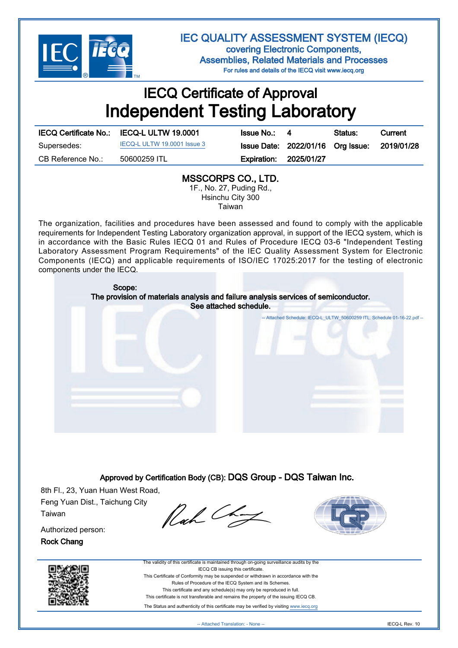

IEC QUALITY ASSESSMENT SYSTEM (IECQ) covering Electronic Components, Assemblies, Related Materials and Processes For rules and details of the IECQ visit www.iecq.org

## IECQ Certificate of Approval Independent Testing Laboratory

|                   | IECQ Certificate No.: IECQ-L ULTW 19.0001 | <b>Issue No.: 4</b>           | Status:                                      | Current |
|-------------------|-------------------------------------------|-------------------------------|----------------------------------------------|---------|
| Supersedes:       | IECQ-L ULTW 19.0001 Issue 3               |                               | Issue Date: 2022/01/16 Org Issue: 2019/01/28 |         |
| CB Reference No.: | 50600259 ITL                              | <b>Expiration: 2025/01/27</b> |                                              |         |

## MSSCORPS CO., LTD.

1F., No. 27, Puding Rd., Hsinchu City 300 Taiwan

The organization, facilities and procedures have been assessed and found to comply with the applicable requirements for Independent Testing Laboratory organization approval, in support of the IECQ system, which is in accordance with the Basic Rules IECQ 01 and Rules of Procedure IECQ 03-6 "Independent Testing Laboratory Assessment Program Requirements" of the IEC Quality Assessment System for Electronic Components (IECQ) and applicable requirements of ISO/IEC 17025:2017 for the testing of electronic components under the IECQ.



Approved by Certification Body (CB): DQS Group - DQS Taiwan Inc.

8th Fl., 23, Yuan Huan West Road, Feng Yuan Dist., Taichung City Taiwan

Rach Chat



Authorized person: Rock Chang





The Status and authenticity of this certificate may be verified by visiting [www.iecq.org](http://www.iecq.org)

-- Attached Translation: - None -- IECQ-L Rev. 10